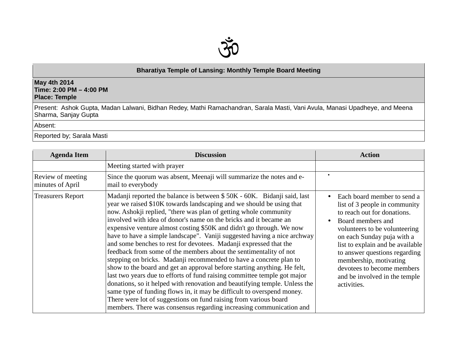

## **Bharatiya Temple of Lansing: Monthly Temple Board Meeting**

## **May 4th 2014 Time: 2:00 PM – 4:00 PM Place: Temple**

Present: Ashok Gupta, Madan Lalwani, Bidhan Redey, Mathi Ramachandran, Sarala Masti, Vani Avula, Manasi Upadheye, and Meena Sharma, Sanjay Gupta

Absent:

Reported by; Sarala Masti

| <b>Agenda Item</b>                    | <b>Discussion</b>                                                                                                                                                                                                                                                                                                                                                                                                                                                                                                                                                                                                                                                                                                                                                                                                                                                                                                                                                                                                                                                                                                       | <b>Action</b>                                                                                                                                                                                                                                                                                                                                                             |
|---------------------------------------|-------------------------------------------------------------------------------------------------------------------------------------------------------------------------------------------------------------------------------------------------------------------------------------------------------------------------------------------------------------------------------------------------------------------------------------------------------------------------------------------------------------------------------------------------------------------------------------------------------------------------------------------------------------------------------------------------------------------------------------------------------------------------------------------------------------------------------------------------------------------------------------------------------------------------------------------------------------------------------------------------------------------------------------------------------------------------------------------------------------------------|---------------------------------------------------------------------------------------------------------------------------------------------------------------------------------------------------------------------------------------------------------------------------------------------------------------------------------------------------------------------------|
|                                       | Meeting started with prayer                                                                                                                                                                                                                                                                                                                                                                                                                                                                                                                                                                                                                                                                                                                                                                                                                                                                                                                                                                                                                                                                                             |                                                                                                                                                                                                                                                                                                                                                                           |
| Review of meeting<br>minutes of April | Since the quorum was absent, Meenaji will summarize the notes and e-<br>mail to everybody                                                                                                                                                                                                                                                                                                                                                                                                                                                                                                                                                                                                                                                                                                                                                                                                                                                                                                                                                                                                                               | $\bullet$                                                                                                                                                                                                                                                                                                                                                                 |
| <b>Treasurers Report</b>              | Madanji reported the balance is between \$50K - 60K. Bidanji said, last<br>year we raised \$10K towards landscaping and we should be using that<br>now. Ashokji replied, "there was plan of getting whole community<br>involved with idea of donor's name on the bricks and it became an<br>expensive venture almost costing \$50K and didn't go through. We now<br>have to have a simple landscape". Vaniji suggested having a nice archway<br>and some benches to rest for devotees. Madanji expressed that the<br>feedback from some of the members about the sentimentality of not<br>stepping on bricks. Madanji recommended to have a concrete plan to<br>show to the board and get an approval before starting anything. He felt,<br>last two years due to efforts of fund raising committee temple got major<br>donations, so it helped with renovation and beautifying temple. Unless the<br>same type of funding flows in, it may be difficult to overspend money.<br>There were lot of suggestions on fund raising from various board<br>members. There was consensus regarding increasing communication and | Each board member to send a<br>$\bullet$<br>list of 3 people in community<br>to reach out for donations.<br>Board members and<br>volunteers to be volunteering<br>on each Sunday puja with a<br>list to explain and be available<br>to answer questions regarding<br>membership, motivating<br>devotees to become members<br>and be involved in the temple<br>activities. |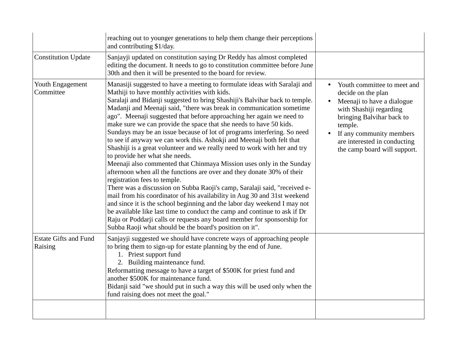|                                         | reaching out to younger generations to help them change their perceptions<br>and contributing \$1/day.                                                                                                                                                                                                                                                                                                                                                                                                                                                                                                                                                                                                                                                                                                                                                                                                                                                                                                                                                                                                                                                                                                                                                                                                                                       |                                                                                                                                                                                                                                                |
|-----------------------------------------|----------------------------------------------------------------------------------------------------------------------------------------------------------------------------------------------------------------------------------------------------------------------------------------------------------------------------------------------------------------------------------------------------------------------------------------------------------------------------------------------------------------------------------------------------------------------------------------------------------------------------------------------------------------------------------------------------------------------------------------------------------------------------------------------------------------------------------------------------------------------------------------------------------------------------------------------------------------------------------------------------------------------------------------------------------------------------------------------------------------------------------------------------------------------------------------------------------------------------------------------------------------------------------------------------------------------------------------------|------------------------------------------------------------------------------------------------------------------------------------------------------------------------------------------------------------------------------------------------|
| <b>Constitution Update</b>              | Sanjayji updated on constitution saying Dr Reddy has almost completed<br>editing the document. It needs to go to constitution committee before June<br>30th and then it will be presented to the board for review.                                                                                                                                                                                                                                                                                                                                                                                                                                                                                                                                                                                                                                                                                                                                                                                                                                                                                                                                                                                                                                                                                                                           |                                                                                                                                                                                                                                                |
| Youth Engagement<br>Committee           | Manasiji suggested to have a meeting to formulate ideas with Saralaji and<br>Mathiji to have monthly activities with kids.<br>Saralaji and Bidanji suggested to bring Shashiji's Balvihar back to temple.<br>Madanji and Meenaji said, "there was break in communication sometime<br>ago". Meenaji suggested that before approaching her again we need to<br>make sure we can provide the space that she needs to have 50 kids.<br>Sundays may be an issue because of lot of programs interfering. So need<br>to see if anyway we can work this. Ashokji and Meenaji both felt that<br>Shashiji is a great volunteer and we really need to work with her and try<br>to provide her what she needs.<br>Meenaji also commented that Chinmaya Mission uses only in the Sunday<br>afternoon when all the functions are over and they donate 30% of their<br>registration fees to temple.<br>There was a discussion on Subba Raoji's camp, Saralaji said, "received e-<br>mail from his coordinator of his availability in Aug 30 and 31st weekend<br>and since it is the school beginning and the labor day weekend I may not<br>be available like last time to conduct the camp and continue to ask if Dr<br>Raju or Poddarji calls or requests any board member for sponsorship for<br>Subba Raoji what should be the board's position on it". | Youth committee to meet and<br>decide on the plan<br>Meenaji to have a dialogue<br>with Shashiji regarding<br>bringing Balvihar back to<br>temple.<br>If any community members<br>are interested in conducting<br>the camp board will support. |
| <b>Estate Gifts and Fund</b><br>Raising | Sanjayji suggested we should have concrete ways of approaching people<br>to bring them to sign-up for estate planning by the end of June.<br>1. Priest support fund<br>2. Building maintenance fund.<br>Reformatting message to have a target of \$500K for priest fund and<br>another \$500K for maintenance fund.<br>Bidanji said "we should put in such a way this will be used only when the<br>fund raising does not meet the goal."                                                                                                                                                                                                                                                                                                                                                                                                                                                                                                                                                                                                                                                                                                                                                                                                                                                                                                    |                                                                                                                                                                                                                                                |
|                                         |                                                                                                                                                                                                                                                                                                                                                                                                                                                                                                                                                                                                                                                                                                                                                                                                                                                                                                                                                                                                                                                                                                                                                                                                                                                                                                                                              |                                                                                                                                                                                                                                                |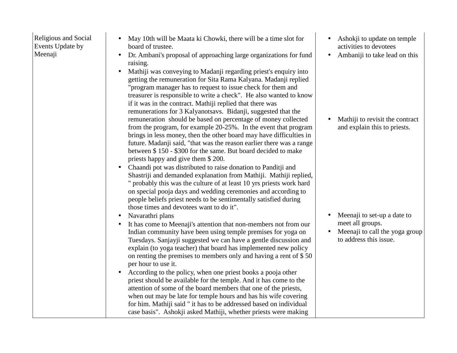Religious and Social Events Update by Meenaji

- May 10th will be Maata ki Chowki, there will be a time slot for board of trustee.
- Dr. Ambani's proposal of approaching large organizations for fund raising.
- Mathiji was conveying to Madanji regarding priest's enquiry into getting the remuneration for Sita Rama Kalyana. Madanji replied "program manager has to request to issue check for them and treasurer is responsible to write a check". He also wanted to know if it was in the contract. Mathiji replied that there was remunerations for 3 Kalyanotsavs. Bidanji, suggested that the remuneration should be based on percentage of money collected from the program, for example 20-25%. In the event that program brings in less money, then the other board may have difficulties in future. Madanji said, "that was the reason earlier there was a range between \$ 150 - \$300 for the same. But board decided to make priests happy and give them \$ 200.
- Chaandi pot was distributed to raise donation to Panditji and Shastriji and demanded explanation from Mathiji. Mathiji replied, " probably this was the culture of at least 10 yrs priests work hard on special pooja days and wedding ceremonies and according to people beliefs priest needs to be sentimentally satisfied during those times and devotees want to do it".
- •Navarathri plans
- It has come to Meenaji's attention that non-members not from our Indian community have been using temple premises for yoga on Tuesdays. Sanjayji suggested we can have a gentle discussion and explain (to yoga teacher) that board has implemented new policy on renting the premises to members only and having a rent of \$ 50 per hour to use it.
- • According to the policy, when one priest books a pooja other priest should be available for the temple. And it has come to the attention of some of the board members that one of the priests, when out may be late for temple hours and has his wife covering for him. Mathiji said " it has to be addressed based on individual case basis". Ashokji asked Mathiji, whether priests were making
- Ashokji to update on temple activities to devotees
- Ambaniji to take lead on this

• Mathiji to revisit the contract and explain this to priests.

- • Meenaji to set-up a date to meet all groups.
- Meenaji to call the yoga group •to address this issue.